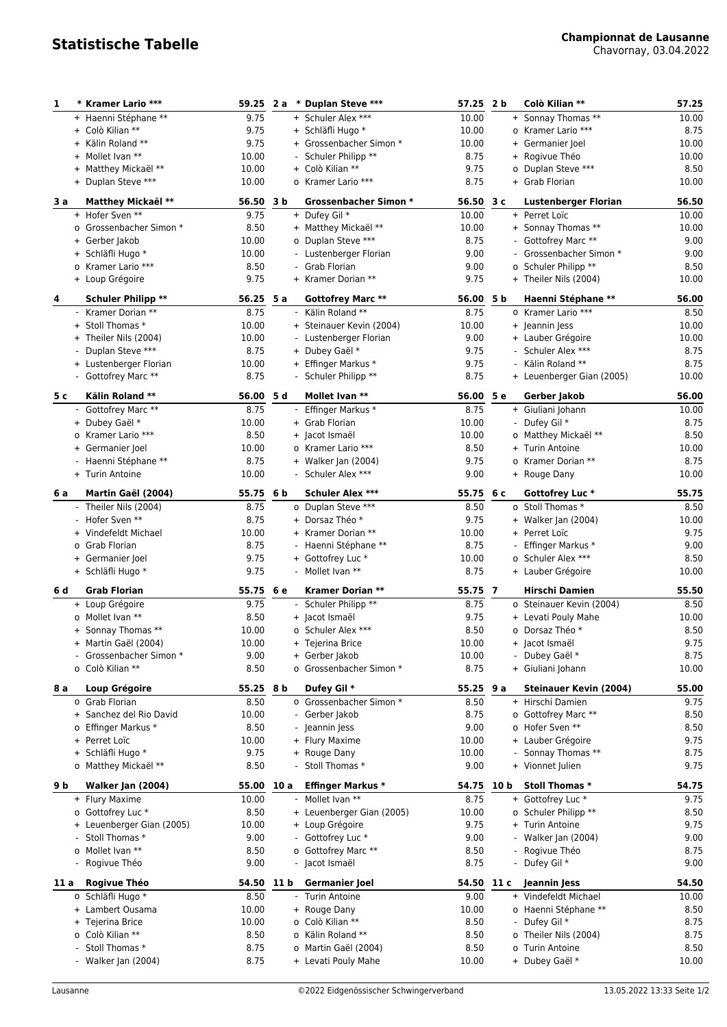Chavornay, 03.04.2022

| 1    | * Kramer Lario ***        |            |      | 59.25 2 a * Duplan Steve *** | 57.25      | 2 <sub>b</sub> | Colò Kilian **                | 57.25 |
|------|---------------------------|------------|------|------------------------------|------------|----------------|-------------------------------|-------|
|      | + Haenni Stéphane **      | 9.75       |      | + Schuler Alex ***           | 10.00      |                | + Sonnay Thomas **            | 10.00 |
|      | + Colò Kilian **          | 9.75       |      | + Schläfli Hugo *            | 10.00      |                | o Kramer Lario ***            | 8.75  |
|      | + Kälin Roland **         | 9.75       |      | + Grossenbacher Simon *      | 10.00      |                | + Germanier Joel              | 10.00 |
|      | + Mollet Ivan **          | 10.00      |      | - Schuler Philipp **         | 8.75       |                | + Rogivue Théo                | 10.00 |
|      | + Matthey Mickaël **      | 10.00      |      | + Colò Kilian **             | 9.75       |                | o Duplan Steve ***            | 8.50  |
|      | + Duplan Steve ***        | 10.00      |      | o Kramer Lario ***           | 8.75       |                | + Grab Florian                | 10.00 |
| 3 a  | Matthey Mickaël **        | 56.50 3 b  |      | <b>Grossenbacher Simon *</b> | 56.50 3 c  |                | <b>Lustenberger Florian</b>   | 56.50 |
|      | + Hofer Sven **           | 9.75       |      | + Dufey Gil *                | 10.00      |                | + Perret Loïc                 | 10.00 |
|      | o Grossenbacher Simon *   | 8.50       |      | + Matthey Mickaël **         | 10.00      |                | + Sonnay Thomas **            | 10.00 |
|      | + Gerber Jakob            | 10.00      |      | o Duplan Steve ***           | 8.75       |                | - Gottofrey Marc **           | 9.00  |
|      | + Schläfli Hugo *         | 10.00      |      | - Lustenberger Florian       | 9.00       |                | - Grossenbacher Simon *       | 9.00  |
|      | o Kramer Lario ***        | 8.50       |      | - Grab Florian               | 9.00       |                | o Schuler Philipp **          | 8.50  |
|      | + Loup Grégoire           | 9.75       |      | + Kramer Dorian **           | 9.75       |                | + Theiler Nils (2004)         | 10.00 |
| 4    | <b>Schuler Philipp **</b> | 56.25 5 a  |      | Gottofrey Marc **            | 56.00, 5b  |                | Haenni Stéphane **            | 56.00 |
|      | - Kramer Dorian **        | 8.75       |      | - Kälin Roland **            | 8.75       |                | o Kramer Lario ***            | 8.50  |
|      | + Stoll Thomas *          | 10.00      |      | + Steinauer Kevin (2004)     | 10.00      |                | + Jeannin Jess                | 10.00 |
|      | + Theiler Nils (2004)     | 10.00      |      | - Lustenberger Florian       | 9.00       |                | + Lauber Grégoire             | 10.00 |
|      | - Duplan Steve ***        | 8.75       |      | + Dubey Gaël *               | 9.75       |                | - Schuler Alex ***            | 8.75  |
|      | + Lustenberger Florian    | 10.00      |      | + Effinger Markus *          | 9.75       |                | Kälin Roland **               | 8.75  |
|      | - Gottofrey Marc **       | 8.75       |      | - Schuler Philipp **         | 8.75       |                | + Leuenberger Gian (2005)     | 10.00 |
| 5 c  | Kälin Roland **           | 56.00      | 5 d  | Mollet Ivan **               | 56.00      | 5е             | Gerber Jakob                  | 56.00 |
|      | - Gottofrey Marc **       | 8.75       |      | - Effinger Markus *          | 8.75       |                | + Giuliani Johann             | 10.00 |
|      | + Dubey Gaël *            | 10.00      |      | + Grab Florian               | 10.00      |                | Dufey Gil *                   | 8.75  |
|      | o Kramer Lario ***        | 8.50       |      | + Jacot Ismaël               | 10.00      |                | o Matthey Mickaël **          | 8.50  |
|      | + Germanier Joel          | 10.00      |      | o Kramer Lario ***           | 8.50       |                | + Turin Antoine               | 10.00 |
|      | - Haenni Stéphane **      | 8.75       |      | + Walker Jan (2004)          | 9.75       |                | o Kramer Dorian **            | 8.75  |
|      | + Turin Antoine           | 10.00      |      | - Schuler Alex ***           | 9.00       |                | + Rouge Dany                  | 10.00 |
| 6 a  | Martin Gaël (2004)        | 55.75 6 b  |      | <b>Schuler Alex ***</b>      | 55.75 6 c  |                | Gottofrey Luc *               | 55.75 |
|      | - Theiler Nils (2004)     | 8.75       |      | o Duplan Steve ***           | 8.50       |                | o Stoll Thomas *              | 8.50  |
|      | - Hofer Sven **           | 8.75       |      | + Dorsaz Théo *              | 9.75       |                | + Walker Jan (2004)           | 10.00 |
|      | + Vindefeldt Michael      | 10.00      |      | + Kramer Dorian **           | 10.00      |                | + Perret Loïc                 | 9.75  |
|      | o Grab Florian            | 8.75       |      | - Haenni Stéphane **         | 8.75       |                | Effinger Markus *             | 9.00  |
|      | + Germanier Joel          | 9.75       |      | + Gottofrey Luc *            | 10.00      |                | o Schuler Alex ***            | 8.50  |
|      | + Schläfli Hugo *         | 9.75       |      | - Mollet Ivan **             | 8.75       |                | + Lauber Grégoire             | 10.00 |
| 6 d  | <b>Grab Florian</b>       | 55.75 6 e  |      | Kramer Dorian **             | 55.75 7    |                | <b>Hirschi Damien</b>         | 55.50 |
|      | + Loup Grégoire           | 9.75       |      | - Schuler Philipp **         | 8.75       |                | o Steinauer Kevin (2004)      | 8.50  |
|      | o Mollet Ivan **          | 8.50       |      | + Jacot Ismaël               | 9.75       |                | + Levati Pouly Mahe           | 10.00 |
|      | + Sonnay Thomas **        | 10.00      |      | o Schuler Alex ***           | 8.50       |                | o Dorsaz Théo *               | 8.50  |
|      | + Martin Gaël (2004)      | 10.00      |      | + Tejerina Brice             | 10.00      |                | + Jacot Ismaël                | 9.75  |
|      | - Grossenbacher Simon *   | 9.00       |      | + Gerber Jakob               | 10.00      |                | - Dubey Gaël *                | 8.75  |
|      | o Colò Kilian **          | 8.50       |      | o Grossenbacher Simon *      | 8.75       |                | + Giuliani Johann             | 10.00 |
| 8 a  | <b>Loup Grégoire</b>      | 55.25 8 b  |      | Dufey Gil *                  | 55.25 9 a  |                | <b>Steinauer Kevin (2004)</b> | 55.00 |
|      | o Grab Florian            | 8.50       |      | o Grossenbacher Simon *      | 8.50       |                | + Hirschi Damien              | 9.75  |
|      | + Sanchez del Rio David   | 10.00      |      | - Gerber Jakob               | 8.75       |                | o Gottofrey Marc **           | 8.50  |
|      | o Effinger Markus *       | 8.50       |      | - Jeannin Jess               | 9.00       |                | o Hofer Sven **               | 8.50  |
|      | + Perret Loïc             | 10.00      |      | + Flury Maxime               | 10.00      |                | + Lauber Grégoire             | 9.75  |
|      | + Schläfli Hugo *         | 9.75       |      | + Rouge Dany                 | 10.00      |                | - Sonnay Thomas **            | 8.75  |
|      | o Matthey Mickaël **      | 8.50       |      | - Stoll Thomas *             | 9.00       |                | + Vionnet Julien              | 9.75  |
| 9 b  | Walker Jan (2004)         | 55.00 10 a |      | <b>Effinger Markus *</b>     | 54.75 10 b |                | Stoll Thomas *                | 54.75 |
|      | + Flury Maxime            | 10.00      |      | Mollet Ivan **               | 8.75       |                | + Gottofrey Luc *             | 9.75  |
|      | o Gottofrey Luc *         | 8.50       |      | + Leuenberger Gian (2005)    | 10.00      |                | o Schuler Philipp **          | 8.50  |
|      | + Leuenberger Gian (2005) | 10.00      |      | + Loup Grégoire              | 9.75       |                | + Turin Antoine               | 9.75  |
|      | - Stoll Thomas *          | 9.00       |      | - Gottofrey Luc *            | 9.00       |                | - Walker Jan (2004)           | 9.00  |
|      | o Mollet Ivan **          | 8.50       |      | o Gottofrey Marc **          | 8.50       |                | - Rogivue Théo                | 8.75  |
|      | - Rogivue Théo            | 9.00       |      | - Jacot Ismaël               | 8.75       |                | - Dufey Gil *                 | 9.00  |
| 11 a | <b>Rogivue Théo</b>       | 54.50      | 11 b | Germanier Joel               | 54.50      | 11 c           | Jeannin Jess                  | 54.50 |
|      | o Schläfli Hugo *         | 8.50       |      | - Turin Antoine              | 9.00       |                | + Vindefeldt Michael          | 10.00 |
|      | + Lambert Ousama          | 10.00      |      | + Rouge Dany                 | 10.00      |                | o Haenni Stéphane **          | 8.50  |
|      | + Tejerina Brice          | 10.00      |      | o Colò Kilian **             | 8.50       |                | Dufey Gil *                   | 8.75  |
|      | o Colò Kilian **          | 8.50       |      | o Kälin Roland **            | 8.50       |                | o Theiler Nils (2004)         | 8.75  |
|      | - Stoll Thomas *          | 8.75       |      | o Martin Gaël (2004)         | 8.50       |                | o Turin Antoine               | 8.50  |
|      | - Walker Jan (2004)       | 8.75       |      | + Levati Pouly Mahe          | 10.00      |                | + Dubey Gaël *                | 10.00 |